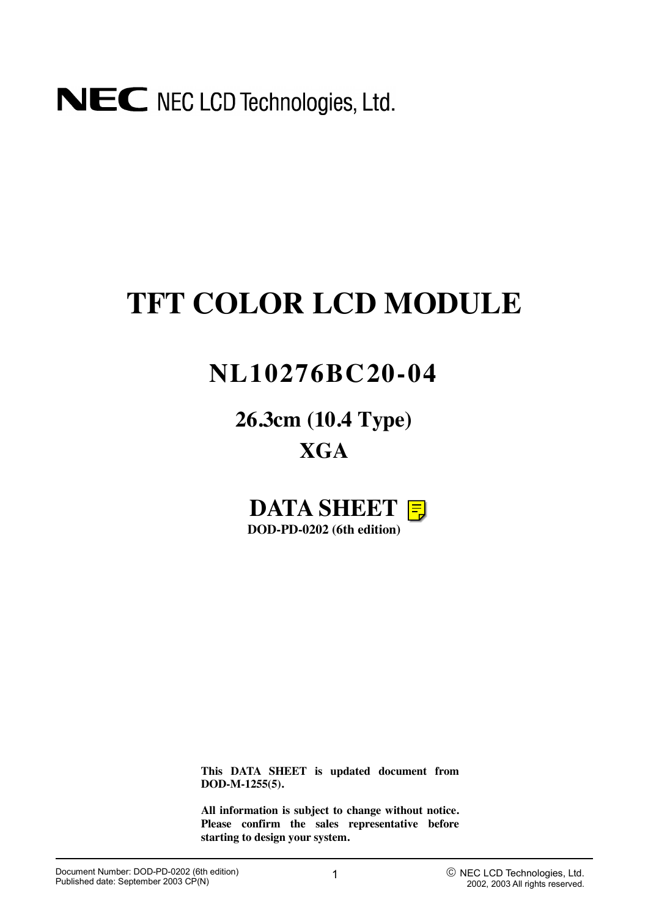

# **TFT COLOR LCD MODULE**

# **NL10276BC20-04**

**26.3cm (10.4 Type) XGA**



**This DATA SHEET is updated document from DOD-M-1255(5).**

**All information is subject to change without notice. Please confirm the sales representative before starting to design your system.**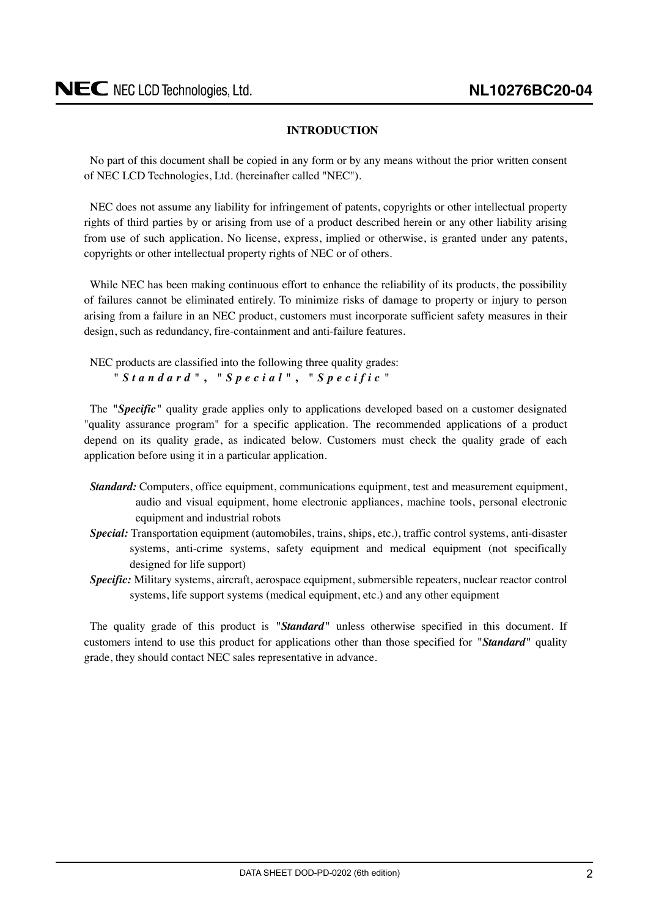## **INTRODUCTION**

<span id="page-1-0"></span>No part of this document shall be copied in any form or by any means without the prior written consent of NEC LCD Technologies, Ltd. (hereinafter called "NEC").

NEC does not assume any liability for infringement of patents, copyrights or other intellectual property rights of third parties by or arising from use of a product described herein or any other liability arising from use of such application. No license, express, implied or otherwise, is granted under any patents, copyrights or other intellectual property rights of NEC or of others.

While NEC has been making continuous effort to enhance the reliability of its products, the possibility of failures cannot be eliminated entirely. To minimize risks of damage to property or injury to person arising from a failure in an NEC product, customers must incorporate sufficient safety measures in their design, such as redundancy, fire-containment and anti-failure features.

NEC products are classified into the following three quality grades: *"Standard"* **,** *"Special"* **,** *"Specific"*

The *"Specific"* quality grade applies only to applications developed based on a customer designated "quality assurance program" for a specific application. The recommended applications of a product depend on its quality grade, as indicated below. Customers must check the quality grade of each application before using it in a particular application.

- *Standard:* Computers, office equipment, communications equipment, test and measurement equipment, audio and visual equipment, home electronic appliances, machine tools, personal electronic equipment and industrial robots
- *Special:* Transportation equipment (automobiles, trains, ships, etc.), traffic control systems, anti-disaster systems, anti-crime systems, safety equipment and medical equipment (not specifically designed for life support)
- *Specific:* Military systems, aircraft, aerospace equipment, submersible repeaters, nuclear reactor control systems, life support systems (medical equipment, etc.) and any other equipment

The quality grade of this product is *"Standard"* unless otherwise specified in this document. If customers intend to use this product for applications other than those specified for *"Standard"* quality grade, they should contact NEC sales representative in advance.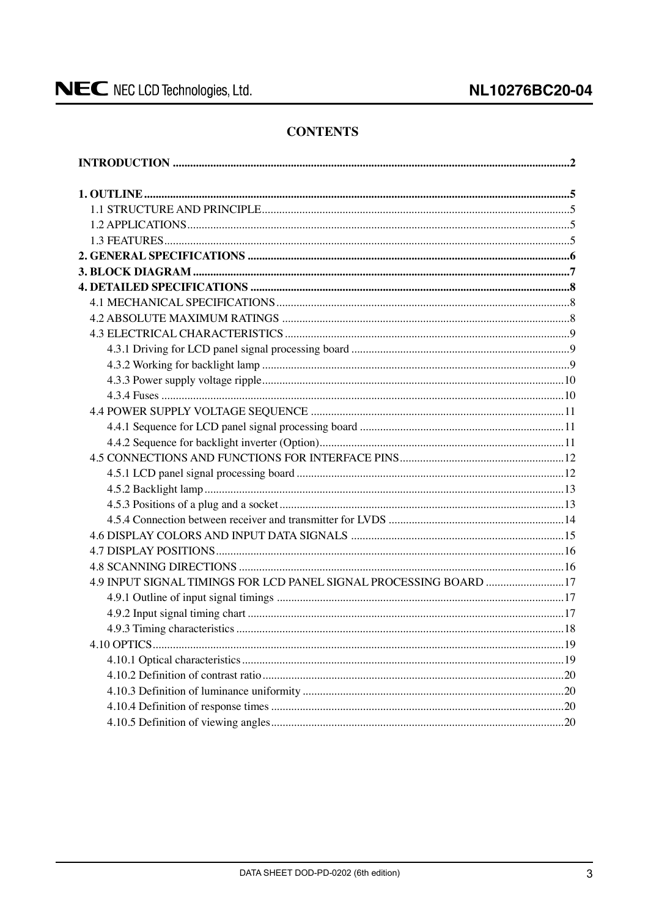# **CONTENTS**

| 4.9 INPUT SIGNAL TIMINGS FOR LCD PANEL SIGNAL PROCESSING BOARD  17 |            |
|--------------------------------------------------------------------|------------|
|                                                                    |            |
|                                                                    |            |
|                                                                    |            |
| 4.10 OPTICS.                                                       | $\dots$ 19 |
|                                                                    |            |
|                                                                    |            |
|                                                                    |            |
|                                                                    |            |
|                                                                    |            |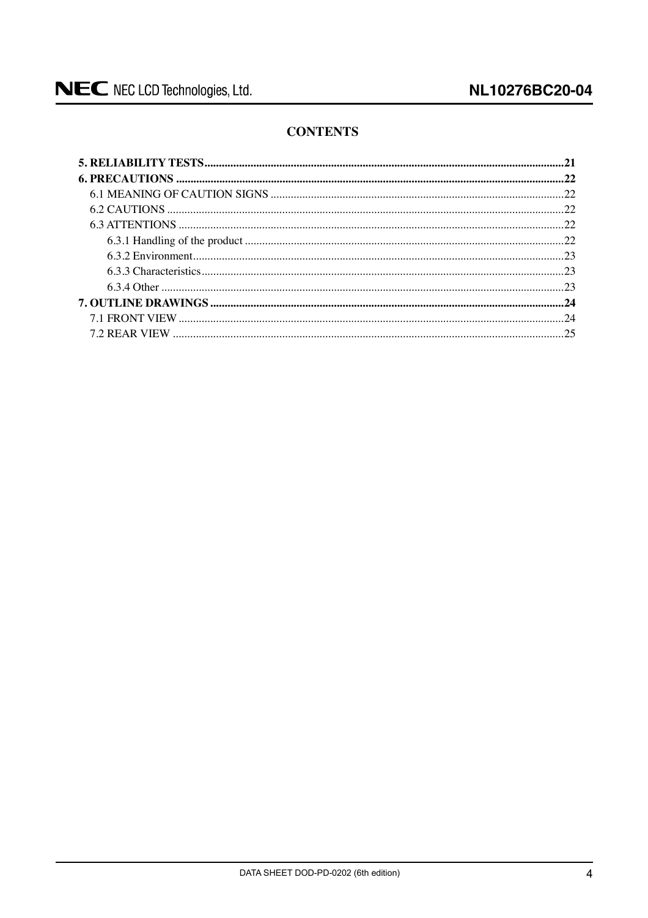# **CONTENTS**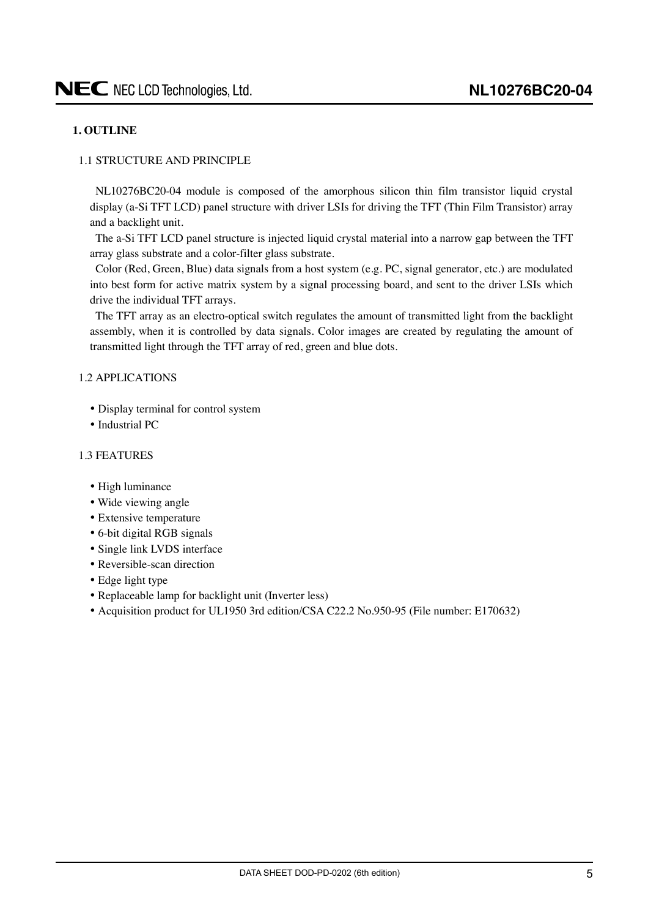### <span id="page-4-0"></span>**1. OUTLINE**

### 1.1 STRUCTURE AND PRINCIPLE

NL10276BC20-04 module is composed of the amorphous silicon thin film transistor liquid crystal display (a-Si TFT LCD) panel structure with driver LSIs for driving the TFT (Thin Film Transistor) array and a backlight unit.

The a-Si TFT LCD panel structure is injected liquid crystal material into a narrow gap between the TFT array glass substrate and a color-filter glass substrate.

Color (Red, Green, Blue) data signals from a host system (e.g. PC, signal generator, etc.) are modulated into best form for active matrix system by a signal processing board, and sent to the driver LSIs which drive the individual TFT arrays.

The TFT array as an electro-optical switch regulates the amount of transmitted light from the backlight assembly, when it is controlled by data signals. Color images are created by regulating the amount of transmitted light through the TFT array of red, green and blue dots.

### 1.2 APPLICATIONS

- Display terminal for control system
- Industrial PC

#### 1.3 FEATURES

- High luminance
- Wide viewing angle
- Extensive temperature
- 6-bit digital RGB signals
- Single link LVDS interface
- Reversible-scan direction
- Edge light type
- Replaceable lamp for backlight unit (Inverter less)
- Acquisition product for UL1950 3rd edition/CSA C22.2 No.950-95 (File number: E170632)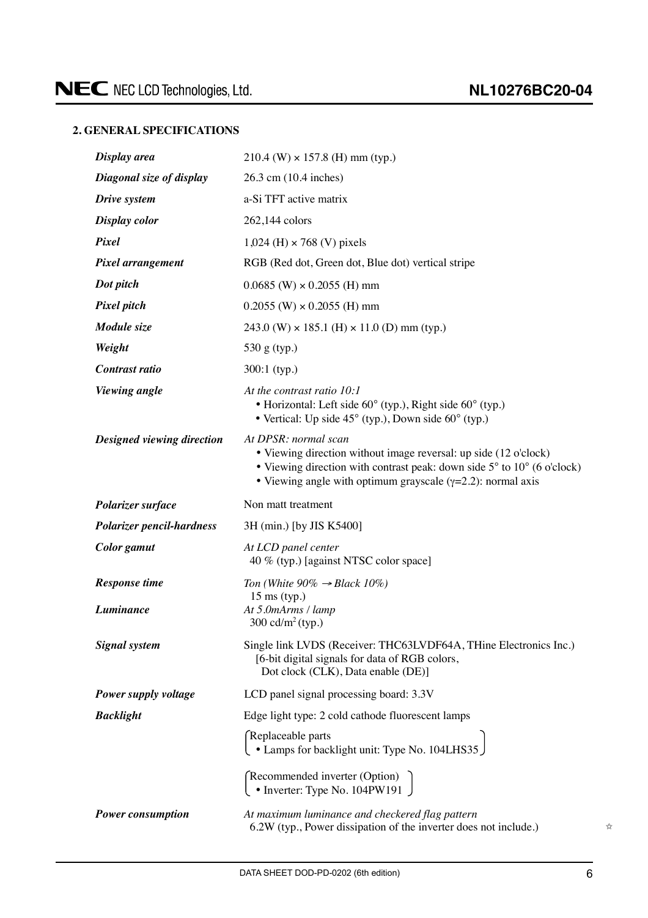# <span id="page-5-0"></span>**2. GENERAL SPECIFICATIONS**

| Display area                     | $210.4$ (W) $\times$ 157.8 (H) mm (typ.)                                                                                                                                                                                                                |  |
|----------------------------------|---------------------------------------------------------------------------------------------------------------------------------------------------------------------------------------------------------------------------------------------------------|--|
| Diagonal size of display         | 26.3 cm (10.4 inches)                                                                                                                                                                                                                                   |  |
| Drive system                     | a-Si TFT active matrix                                                                                                                                                                                                                                  |  |
| Display color                    | 262,144 colors                                                                                                                                                                                                                                          |  |
| Pixel                            | $1,024$ (H) $\times$ 768 (V) pixels                                                                                                                                                                                                                     |  |
| Pixel arrangement                | RGB (Red dot, Green dot, Blue dot) vertical stripe                                                                                                                                                                                                      |  |
| Dot pitch                        | $0.0685$ (W) $\times$ 0.2055 (H) mm                                                                                                                                                                                                                     |  |
| Pixel pitch                      | $0.2055$ (W) $\times$ 0.2055 (H) mm                                                                                                                                                                                                                     |  |
| Module size                      | $243.0$ (W) $\times$ 185.1 (H) $\times$ 11.0 (D) mm (typ.)                                                                                                                                                                                              |  |
| Weight                           | 530 g (typ.)                                                                                                                                                                                                                                            |  |
| Contrast ratio                   | $300:1$ (typ.)                                                                                                                                                                                                                                          |  |
| <b>Viewing</b> angle             | At the contrast ratio 10:1<br>• Horizontal: Left side 60° (typ.), Right side 60° (typ.)<br>• Vertical: Up side $45^{\circ}$ (typ.), Down side $60^{\circ}$ (typ.)                                                                                       |  |
| Designed viewing direction       | At DPSR: normal scan<br>• Viewing direction without image reversal: up side (12 o'clock)<br>• Viewing direction with contrast peak: down side $5^{\circ}$ to $10^{\circ}$ (6 o'clock)<br>• Viewing angle with optimum grayscale $(y=2.2)$ : normal axis |  |
|                                  |                                                                                                                                                                                                                                                         |  |
| Polarizer surface                | Non matt treatment                                                                                                                                                                                                                                      |  |
| <b>Polarizer pencil-hardness</b> | 3H (min.) [by JIS K5400]                                                                                                                                                                                                                                |  |
| Color gamut                      | At LCD panel center<br>40 % (typ.) [against NTSC color space]                                                                                                                                                                                           |  |
| <b>Response time</b>             | Ton (White $90\% \rightarrow Black 10\%)$                                                                                                                                                                                                               |  |
| Luminance                        | $15 \text{ ms (typ.)}$<br>At 5.0mArms / lamp<br>300 cd/m <sup>2</sup> (typ.)                                                                                                                                                                            |  |
| <b>Signal</b> system             | Single link LVDS (Receiver: THC63LVDF64A, THine Electronics Inc.)<br>[6-bit digital signals for data of RGB colors,<br>Dot clock (CLK), Data enable (DE)]                                                                                               |  |
| Power supply voltage             | LCD panel signal processing board: 3.3V                                                                                                                                                                                                                 |  |
| <b>Backlight</b>                 | Edge light type: 2 cold cathode fluorescent lamps                                                                                                                                                                                                       |  |
|                                  | Replaceable parts<br>Let Lamps for backlight unit: Type No. 104LHS35                                                                                                                                                                                    |  |
|                                  | Recommended inverter (Option)<br>• Inverter: Type No. 104PW191                                                                                                                                                                                          |  |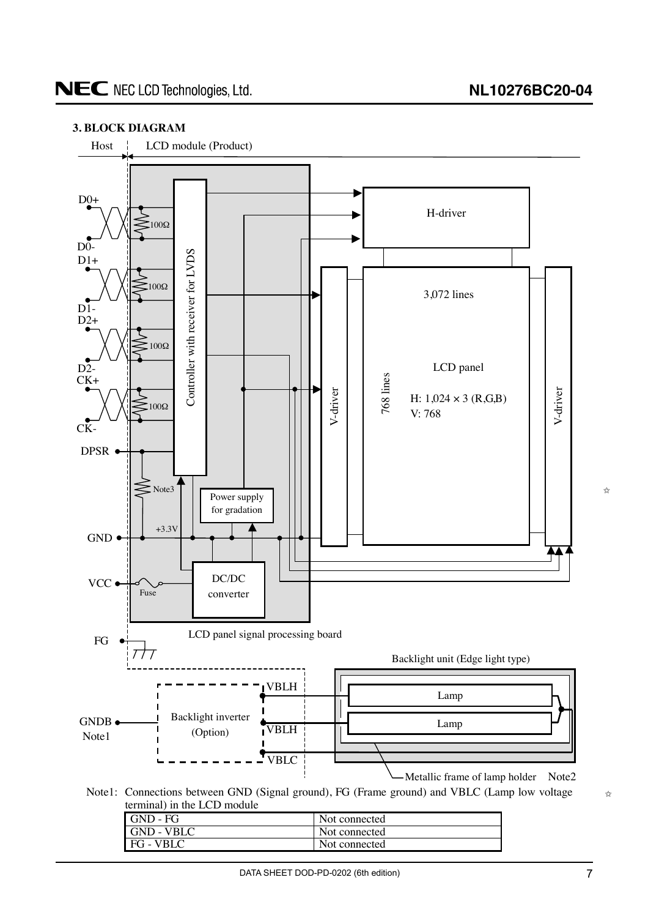## <span id="page-6-0"></span>**3. BLOCK DIAGRAM**



Note1: Connections between GND (Signal ground), FG (Frame ground) and VBLC (Lamp low voltage terminal) in the LCD module

| GND - FG   | Not connected |
|------------|---------------|
| GND - VBLC | Not connected |
| FG - VBLC  | Not connected |



✩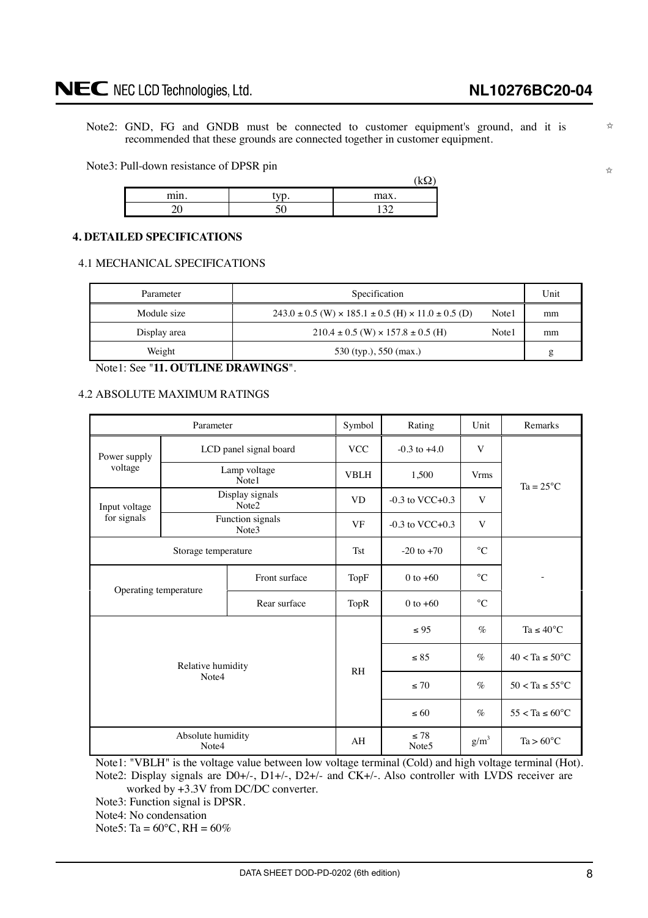# <span id="page-7-0"></span>NEC NEC LCD Technologies, Ltd.

✩

✩

Note2: GND, FG and GNDB must be connected to customer equipment's ground, and it is recommended that these grounds are connected together in customer equipment.

Note3: Pull-down resistance of DPSR pin

|      | __           |               |
|------|--------------|---------------|
| min. | $\mathbf{m}$ | max.          |
|      |              | $1 \cap \cap$ |

### **4. DETAILED SPECIFICATIONS**

4.1 MECHANICAL SPECIFICATIONS

| Parameter    | Specification                                                                |       | Unit |
|--------------|------------------------------------------------------------------------------|-------|------|
| Module size  | $243.0 \pm 0.5$ (W) $\times$ 185.1 $\pm$ 0.5 (H) $\times$ 11.0 $\pm$ 0.5 (D) | Note1 | mm   |
| Display area | $210.4 \pm 0.5$ (W) $\times 157.8 \pm 0.5$ (H)                               | Note1 | mm   |
| Weight       | 530 (typ.), 550 (max.)                                                       |       | g    |

Note1: See "**11. OUTLINE DRAWINGS**".

#### 4.2 ABSOLUTE MAXIMUM RATINGS

| Parameter                                                                     |                            | Symbol                               | Rating         | Unit                           | Remarks                    |                                |
|-------------------------------------------------------------------------------|----------------------------|--------------------------------------|----------------|--------------------------------|----------------------------|--------------------------------|
| Power supply                                                                  |                            | LCD panel signal board               | <b>VCC</b>     | $-0.3$ to $+4.0$               | V                          |                                |
| voltage                                                                       |                            | Lamp voltage<br>Note1                | <b>VBLH</b>    | 1,500                          | <b>Vrms</b>                | $Ta = 25^{\circ}C$             |
| Input voltage                                                                 |                            | Display signals<br>Note <sub>2</sub> | <b>VD</b>      | $-0.3$ to VCC $+0.3$           | V                          |                                |
| for signals                                                                   |                            | Function signals<br>Note3            | <b>VF</b>      | $-0.3$ to VCC $+0.3$           | V                          |                                |
| Storage temperature<br>Front surface<br>Operating temperature<br>Rear surface |                            | <b>Tst</b>                           | $-20$ to $+70$ | $\rm ^{\circ}C$                |                            |                                |
|                                                                               |                            |                                      | TopF           | $0$ to $+60$                   | $\rm ^{\circ}C$            |                                |
|                                                                               |                            |                                      | <b>TopR</b>    | $0$ to $+60$                   | $\rm ^{\circ}C$            |                                |
|                                                                               |                            |                                      |                | $\leq 95$                      | $\%$                       | Ta $\leq 40^{\circ}\mathrm{C}$ |
| Relative humidity<br>Note4                                                    |                            | R <sub>H</sub>                       | $\leq 85$      | $\%$                           | $40 < Ta \leq 50^{\circ}C$ |                                |
|                                                                               |                            |                                      | $\leq 70$      | $\%$                           | $50 < Ta \le 55^{\circ}C$  |                                |
|                                                                               |                            |                                      |                | $\leq 60$                      | $\%$                       | $55 < Ta \le 60^{\circ}$ C     |
|                                                                               | Absolute humidity<br>Note4 |                                      | AH             | $\leq 78$<br>Note <sub>5</sub> | $g/m^3$                    | $Ta > 60^{\circ}C$             |

Note1: "VBLH" is the voltage value between low voltage terminal (Cold) and high voltage terminal (Hot). Note2: Display signals are D0+/-, D1+/-, D2+/- and CK+/-. Also controller with LVDS receiver are worked by +3.3V from DC/DC converter.

Note3: Function signal is DPSR.

Note4: No condensation

Note 5: Ta =  $60^{\circ}$ C, RH =  $60\%$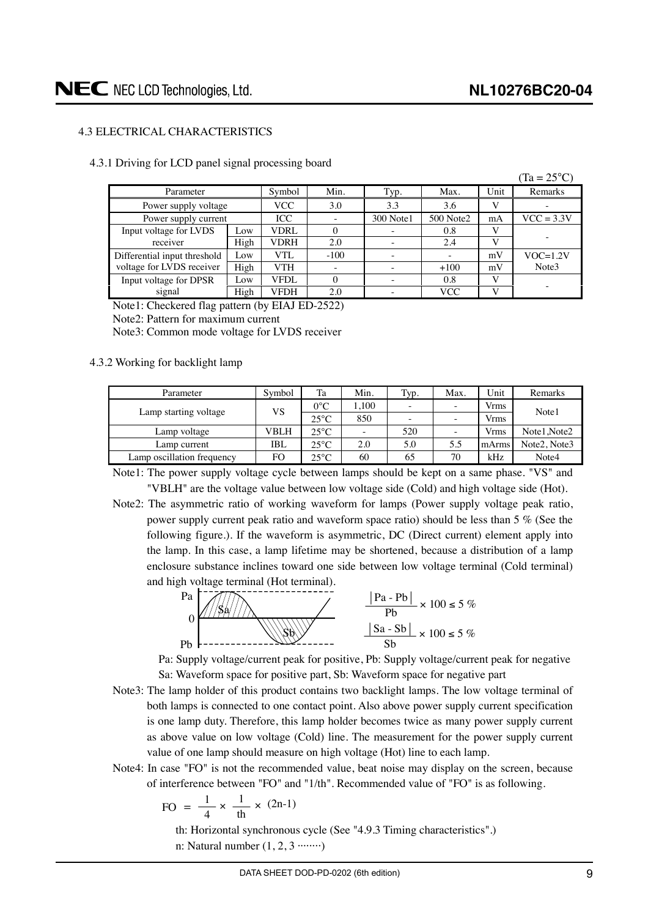# <span id="page-8-0"></span>4.3 ELECTRICAL CHARACTERISTICS

| 4.3.1 Driving for LCD panel signal processing board |  |  |  |  |
|-----------------------------------------------------|--|--|--|--|
|-----------------------------------------------------|--|--|--|--|

|                              |                 |             |          |           |           |      | $(Ta = 25^{\circ}C)$ |
|------------------------------|-----------------|-------------|----------|-----------|-----------|------|----------------------|
| Parameter                    |                 | Symbol      | Min.     | Typ.      | Max.      | Unit | Remarks              |
| Power supply voltage         |                 | <b>VCC</b>  | 3.0      | 3.3       | 3.6       | V    |                      |
| Power supply current         |                 | <b>ICC</b>  |          | 300 Note1 | 500 Note2 | mA   | $VCC = 3.3V$         |
| Input voltage for LVDS       | Low             | <b>VDRL</b> | $\Omega$ |           | 0.8       | V    |                      |
| receiver                     | High            | VDRH        | 2.0      |           | 2.4       | V    |                      |
| Differential input threshold | $_{\text{low}}$ | VTL         | $-100$   |           |           | mV   | $VOC=1.2V$           |
| voltage for LVDS receiver    | High            | VTH         |          |           | $+100$    | mV   | Note3                |
| Input voltage for DPSR       | Low             | VFDL        | $\Omega$ |           | 0.8       | V    |                      |
| signal                       | High            | VFDH        | 2.0      |           | VCC       | V    |                      |

Note1: Checkered flag pattern (by EIAJ ED-2522)

Note2: Pattern for maximum current

Note3: Common mode voltage for LVDS receiver

#### 4.3.2 Working for backlight lamp

| Parameter                  | Symbol | Ta             | Min.  | Typ.                     | Max.                     | Unit  | Remarks                               |
|----------------------------|--------|----------------|-------|--------------------------|--------------------------|-------|---------------------------------------|
| Lamp starting voltage      | VS     | $0^{\circ}$ C  | 1.100 | $\overline{\phantom{a}}$ |                          | Vrms  | Note1                                 |
|                            |        | $25^{\circ}$ C | 850   | $\overline{\phantom{a}}$ | $\overline{\phantom{a}}$ | Vrms  |                                       |
| Lamp voltage               | VBLH   | $25^{\circ}$ C | -     | 520                      | $\overline{\phantom{a}}$ | Vrms  | Note1 Note2                           |
| Lamp current               | IBL    | $25^{\circ}$ C | 2.0   | 5.0                      | 5.5                      | mArms | Note <sub>2</sub> . Note <sub>3</sub> |
| Lamp oscillation frequency | FO     | $25^{\circ}$ C | 60    | 65                       | 70                       | kHz   | Note4                                 |

Note1: The power supply voltage cycle between lamps should be kept on a same phase. "VS" and "VBLH" are the voltage value between low voltage side (Cold) and high voltage side (Hot).

Note2: The asymmetric ratio of working waveform for lamps (Power supply voltage peak ratio, power supply current peak ratio and waveform space ratio) should be less than 5 % (See the following figure.). If the waveform is asymmetric, DC (Direct current) element apply into the lamp. In this case, a lamp lifetime may be shortened, because a distribution of a lamp enclosure substance inclines toward one side between low voltage terminal (Cold terminal) and high voltage terminal (Hot terminal).



Pa: Supply voltage/current peak for positive, Pb: Supply voltage/current peak for negative Sa: Waveform space for positive part, Sb: Waveform space for negative part

- Note3: The lamp holder of this product contains two backlight lamps. The low voltage terminal of both lamps is connected to one contact point. Also above power supply current specification is one lamp duty. Therefore, this lamp holder becomes twice as many power supply current as above value on low voltage (Cold) line. The measurement for the power supply current value of one lamp should measure on high voltage (Hot) line to each lamp.
- Note4: In case "FO" is not the recommended value, beat noise may display on the screen, because of interference between "FO" and "1/th". Recommended value of "FO" is as following.

$$
FO = \frac{1}{4} \times \frac{1}{th} \times (2n-1)
$$

th: Horizontal synchronous cycle (See "4.9.3 Timing characteristics".) n: Natural number  $(1, 2, 3 \cdot \cdot \cdot \cdot \cdot \cdot)$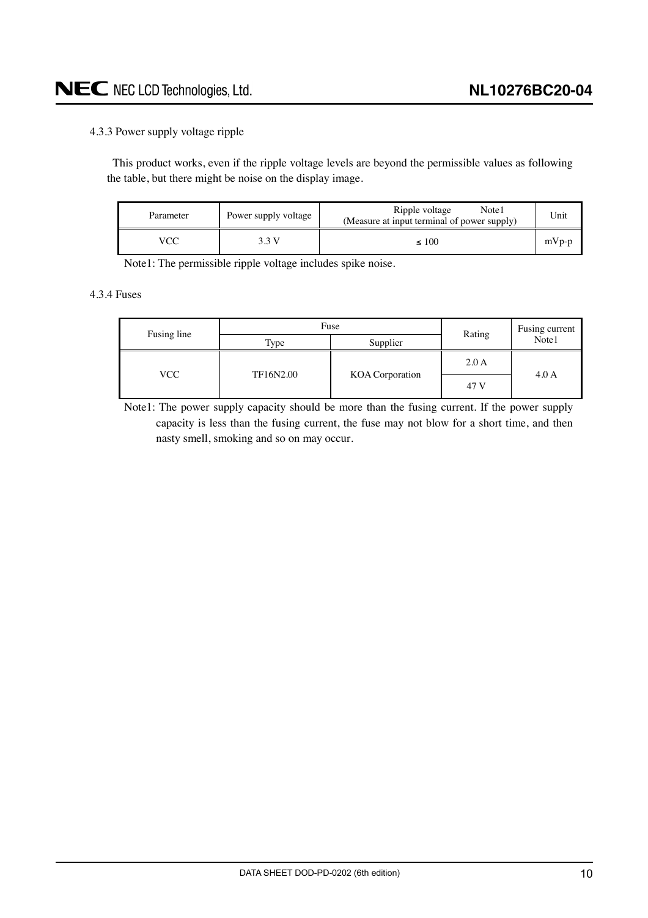# <span id="page-9-0"></span>4.3.3 Power supply voltage ripple

This product works, even if the ripple voltage levels are beyond the permissible values as following the table, but there might be noise on the display image.

| Parameter | Power supply voltage | Ripple voltage<br>Note1<br>(Measure at input terminal of power supply) | Unit    |
|-----------|----------------------|------------------------------------------------------------------------|---------|
|           | 3 3 V                | $\leq 100$                                                             | $mVp-p$ |

Note1: The permissible ripple voltage includes spike noise.

# 4.3.4 Fuses

| Fusing line | Fuse             | Rating          | Fusing current |       |
|-------------|------------------|-----------------|----------------|-------|
|             | Type             | Supplier        |                | Note1 |
|             | VCC<br>TF16N2.00 |                 | 2.0A           | 4.0A  |
|             |                  | KOA Corporation | 47 V           |       |

Note1: The power supply capacity should be more than the fusing current. If the power supply capacity is less than the fusing current, the fuse may not blow for a short time, and then nasty smell, smoking and so on may occur.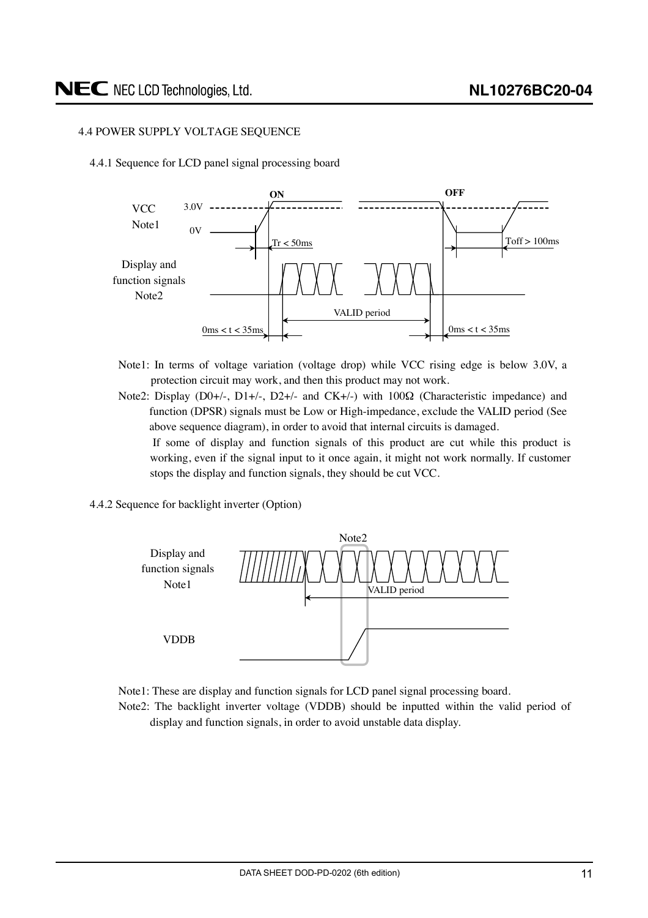# <span id="page-10-0"></span>4.4 POWER SUPPLY VOLTAGE SEQUENCE

4.4.1 Sequence for LCD panel signal processing board



- Note1: In terms of voltage variation (voltage drop) while VCC rising edge is below 3.0V, a protection circuit may work, and then this product may not work.
- Note2: Display (D0+/-, D1+/-, D2+/- and CK+/-) with 100Ω (Characteristic impedance) and function (DPSR) signals must be Low or High-impedance, exclude the VALID period (See above sequence diagram), in order to avoid that internal circuits is damaged.

If some of display and function signals of this product are cut while this product is working, even if the signal input to it once again, it might not work normally. If customer stops the display and function signals, they should be cut VCC.

4.4.2 Sequence for backlight inverter (Option)



- Note1: These are display and function signals for LCD panel signal processing board.
- Note2: The backlight inverter voltage (VDDB) should be inputted within the valid period of display and function signals, in order to avoid unstable data display.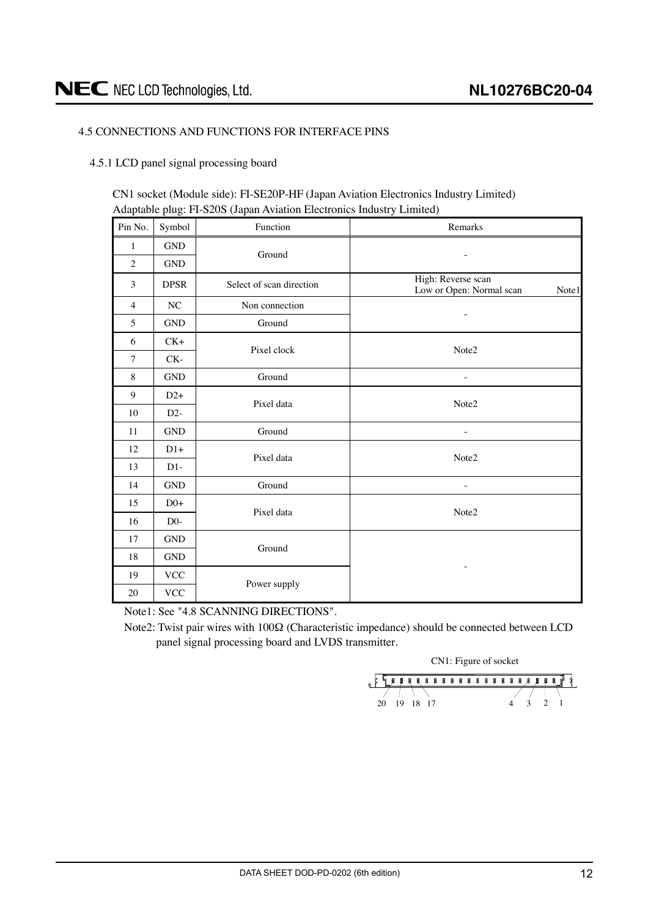### <span id="page-11-0"></span>4.5 CONNECTIONS AND FUNCTIONS FOR INTERFACE PINS

#### 4.5.1 LCD panel signal processing board

CN1 socket (Module side): FI-SE20P-HF (Japan Aviation Electronics Industry Limited) Adaptable plug: FI-S20S (Japan Aviation Electronics Industry Limited)

| Pin No.        | Symbol                    | Function                 | Remarks                                                 |  |  |  |  |  |  |
|----------------|---------------------------|--------------------------|---------------------------------------------------------|--|--|--|--|--|--|
| 1              | <b>GND</b>                |                          |                                                         |  |  |  |  |  |  |
| $\mathfrak{2}$ | <b>GND</b>                | Ground                   |                                                         |  |  |  |  |  |  |
| 3              | <b>DPSR</b>               | Select of scan direction | High: Reverse scan<br>Low or Open: Normal scan<br>Note1 |  |  |  |  |  |  |
| $\overline{4}$ | NC                        | Non connection           |                                                         |  |  |  |  |  |  |
| 5              | <b>GND</b>                | Ground                   |                                                         |  |  |  |  |  |  |
| 6              | $CK+$                     | Pixel clock              |                                                         |  |  |  |  |  |  |
| $\overline{7}$ | CK-                       |                          | Note2                                                   |  |  |  |  |  |  |
| 8              | <b>GND</b>                | Ground                   | $\overline{a}$                                          |  |  |  |  |  |  |
| 9              | $D2+$                     |                          | Note2                                                   |  |  |  |  |  |  |
| 10             | $D2-$                     | Pixel data               |                                                         |  |  |  |  |  |  |
| 11             | <b>GND</b>                | Ground                   |                                                         |  |  |  |  |  |  |
| 12             | $D1+$                     | Pixel data               | Note2                                                   |  |  |  |  |  |  |
| 13             | $D1-$                     |                          |                                                         |  |  |  |  |  |  |
| 14             | <b>GND</b>                | Ground                   | $\overline{a}$                                          |  |  |  |  |  |  |
| 15             | $D0+$                     | Pixel data               | Note2                                                   |  |  |  |  |  |  |
| 16             | $D0-$                     |                          |                                                         |  |  |  |  |  |  |
| 17             | <b>GND</b>                |                          |                                                         |  |  |  |  |  |  |
| 18             | $\operatorname{GND}$      | Ground                   |                                                         |  |  |  |  |  |  |
| 19             | $\ensuremath{\text{VCC}}$ |                          | ۰                                                       |  |  |  |  |  |  |
| 20             | <b>VCC</b>                | Power supply             |                                                         |  |  |  |  |  |  |

Note1: See "4.8 SCANNING DIRECTIONS".

Note2: Twist pair wires with 100Ω (Characteristic impedance) should be connected between LCD panel signal processing board and LVDS transmitter.

CN1: Figure of socket

 $\frac{1}{2}$  $\frac{1}{20}$  19 18 17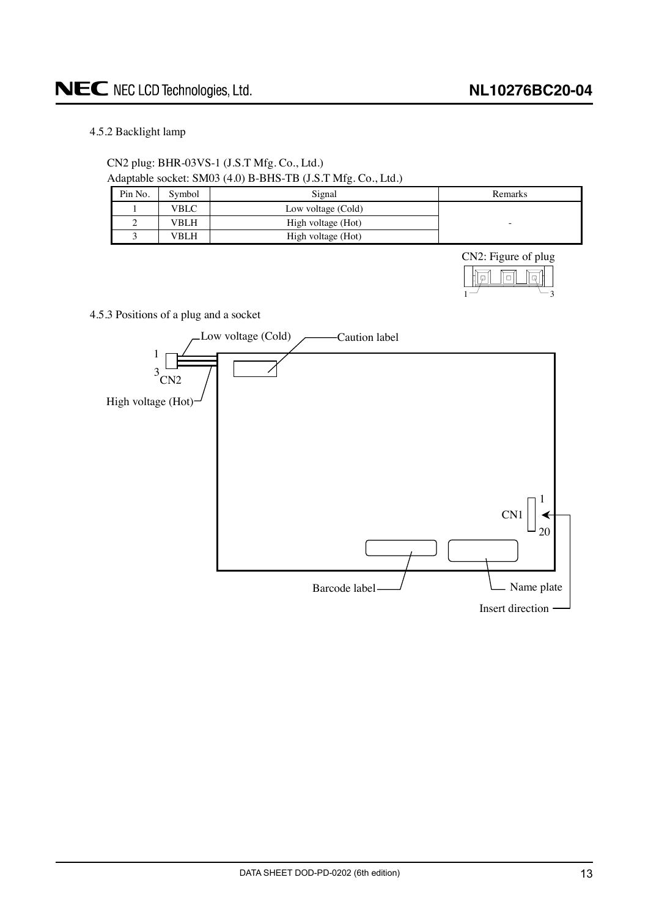# <span id="page-12-0"></span>4.5.2 Backlight lamp

CN2 plug: BHR-03VS-1 (J.S.T Mfg. Co., Ltd.) Adaptable socket: SM03 (4.0) B-BHS-TB (J.S.T Mfg. Co., Ltd.)

|         |        | $\cdots$ , = = = = = $\cdots$ , $\cdots$ . $\cdots$ = = $\cdots$ ; = $\cdots$ ; |                          |
|---------|--------|---------------------------------------------------------------------------------|--------------------------|
| Pin No. | Svmbol | Signal                                                                          | Remarks                  |
|         | VBLC   | Low voltage (Cold)                                                              |                          |
|         | VBLH   | High voltage (Hot)                                                              | $\overline{\phantom{a}}$ |
|         | VBLH   | High voltage (Hot)                                                              |                          |

CN2: Figure of plug



4.5.3 Positions of a plug and a socket

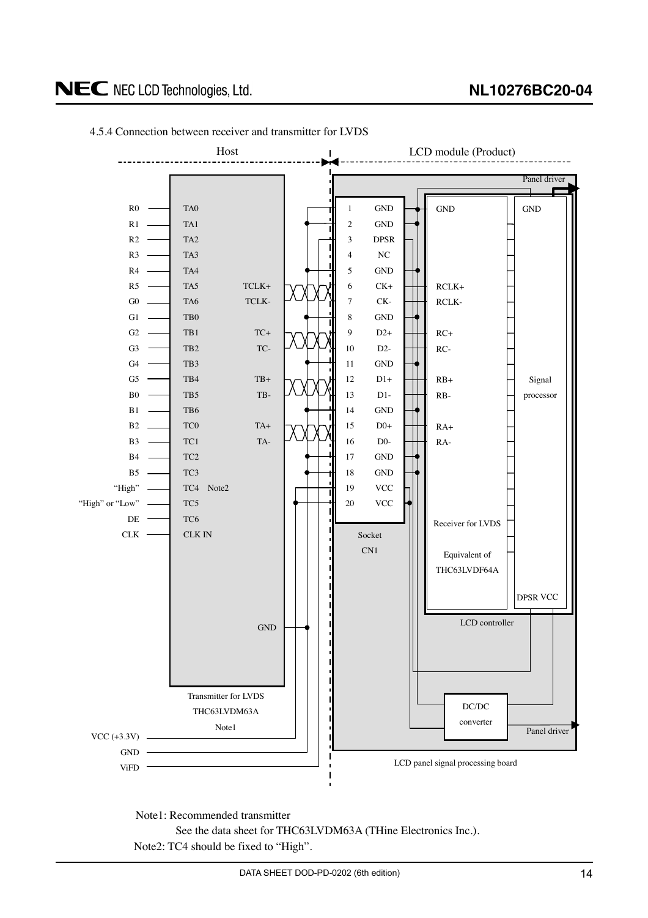# **NL10276BC20-04**

# <span id="page-13-0"></span>NEC NEC LCD Technologies, Ltd.



4.5.4 Connection between receiver and transmitter for LVDS

Note1: Recommended transmitter See the data sheet for THC63LVDM63A (THine Electronics Inc.). Note2: TC4 should be fixed to "High".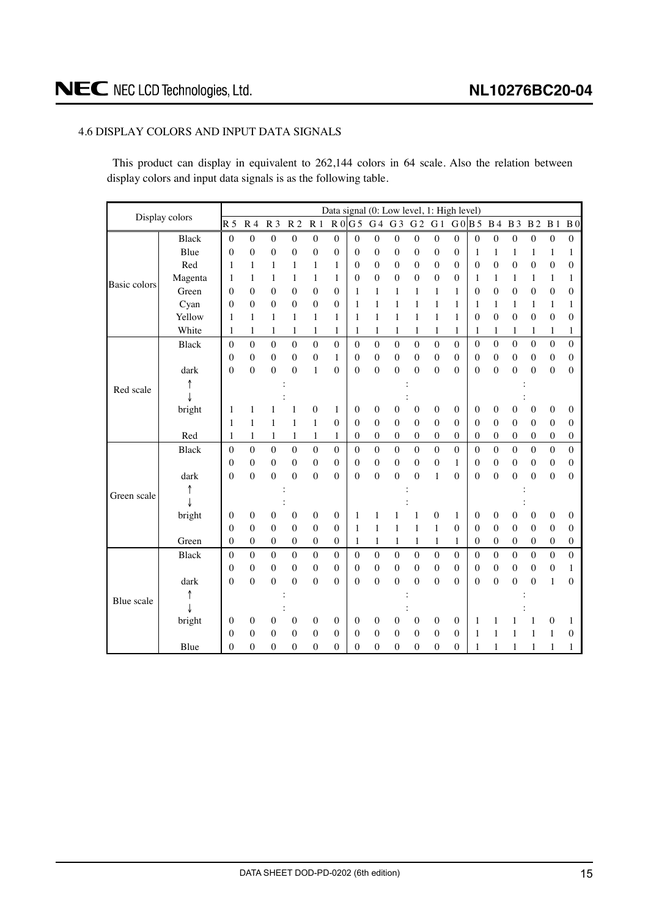# <span id="page-14-0"></span>4.6 DISPLAY COLORS AND INPUT DATA SIGNALS

This product can display in equivalent to 262,144 colors in 64 scale. Also the relation between display colors and input data signals is as the following table.

| Display colors |              |                  |                  |                  |                                    |                  |                  |                  |                  |                  | Data signal (0: Low level, 1: High level) |                  |                  |                  |                  |                  |                  |                  |                  |
|----------------|--------------|------------------|------------------|------------------|------------------------------------|------------------|------------------|------------------|------------------|------------------|-------------------------------------------|------------------|------------------|------------------|------------------|------------------|------------------|------------------|------------------|
|                |              | R <sub>5</sub>   | R <sub>4</sub>   | R <sub>3</sub>   | $\ensuremath{\mathbb{R}}\xspace$ 2 | R <sub>1</sub>   |                  | R0G5             | G <sub>4</sub>   | G <sub>3</sub>   | G <sub>2</sub>                            | G <sub>1</sub>   | G0B5             |                  | <b>B</b> 4       | <b>B</b> 3       | B <sub>2</sub>   | B <sub>1</sub>   | B <sub>0</sub>   |
|                | <b>Black</b> | $\mathbf{0}$     | $\boldsymbol{0}$ | $\boldsymbol{0}$ | $\boldsymbol{0}$                   | $\boldsymbol{0}$ | $\boldsymbol{0}$ | $\boldsymbol{0}$ | $\boldsymbol{0}$ | $\boldsymbol{0}$ | $\boldsymbol{0}$                          | $\boldsymbol{0}$ | $\boldsymbol{0}$ | $\boldsymbol{0}$ | $\boldsymbol{0}$ | $\boldsymbol{0}$ | 0                | $\boldsymbol{0}$ | $\boldsymbol{0}$ |
|                | Blue         | $\mathbf{0}$     | $\mathbf{0}$     | $\boldsymbol{0}$ | $\boldsymbol{0}$                   | 0                | $\mathbf{0}$     | $\boldsymbol{0}$ | $\boldsymbol{0}$ | 0                | $\boldsymbol{0}$                          | $\boldsymbol{0}$ | 0                | 1                | 1                | 1                | $\mathbf{1}$     | $\mathbf{1}$     | $\mathbf{1}$     |
|                | Red          | 1                | $\mathbf{1}$     | $\mathbf{1}$     | 1                                  | 1                | 1                | $\boldsymbol{0}$ | $\boldsymbol{0}$ | $\boldsymbol{0}$ | $\boldsymbol{0}$                          | $\boldsymbol{0}$ | $\overline{0}$   | $\boldsymbol{0}$ | $\overline{0}$   | $\boldsymbol{0}$ | $\mathbf{0}$     | $\boldsymbol{0}$ | $\boldsymbol{0}$ |
|                | Magenta      | 1                | 1                | 1                | 1                                  | 1                | 1                | $\mathbf{0}$     | $\overline{0}$   | 0                | $\mathbf{0}$                              | $\boldsymbol{0}$ | $\mathbf{0}$     | 1                | 1                | 1                | 1                | 1                | $\mathbf{1}$     |
| Basic colors   | Green        | $\theta$         | $\mathbf{0}$     | $\boldsymbol{0}$ | $\boldsymbol{0}$                   | $\boldsymbol{0}$ | $\mathbf{0}$     | 1                | 1                | $\mathbf{1}$     | $\mathbf{1}$                              | $\mathbf{1}$     | $\mathbf{1}$     | $\boldsymbol{0}$ | $\boldsymbol{0}$ | $\boldsymbol{0}$ | $\overline{0}$   | $\boldsymbol{0}$ | $\mathbf{0}$     |
|                | Cyan         | 0                | $\mathbf{0}$     | $\mathbf{0}$     | $\mathbf{0}$                       | $\mathbf{0}$     | 0                | 1                | $\mathbf{1}$     | $\mathbf{1}$     | 1                                         | $\mathbf{1}$     | 1                | 1                | 1                | 1                | 1                | 1                | 1                |
|                | Yellow       | 1                | $\mathbf{1}$     | 1                | 1                                  | $\mathbf{1}$     | 1                | 1                | $\mathbf{1}$     | $\mathbf{1}$     | $\mathbf{1}$                              | $\mathbf{1}$     | $\mathbf{1}$     | $\overline{0}$   | $\overline{0}$   | $\mathbf{0}$     | $\mathbf{0}$     | $\mathbf{0}$     | $\theta$         |
|                | White        | 1                | $\mathbf{1}$     | $\mathbf{1}$     | 1                                  | 1                | 1                | 1                | $\mathbf{1}$     | 1                | 1                                         | 1                | 1                | 1                | 1                | 1                | 1                | 1                | 1                |
|                | <b>Black</b> | $\theta$         | $\theta$         | $\theta$         | $\overline{0}$                     | $\overline{0}$   | $\overline{0}$   | $\theta$         | $\mathbf{0}$     | $\boldsymbol{0}$ | $\mathbf{0}$                              | $\boldsymbol{0}$ | $\theta$         | $\overline{0}$   | $\overline{0}$   | $\overline{0}$   | $\theta$         | $\boldsymbol{0}$ | $\boldsymbol{0}$ |
|                |              | $\overline{0}$   | $\mathbf{0}$     | $\boldsymbol{0}$ | $\boldsymbol{0}$                   | $\boldsymbol{0}$ | $\mathbf{1}$     | $\boldsymbol{0}$ | $\boldsymbol{0}$ | $\boldsymbol{0}$ | $\boldsymbol{0}$                          | $\boldsymbol{0}$ | $\overline{0}$   | $\boldsymbol{0}$ | $\overline{0}$   | $\boldsymbol{0}$ | $\overline{0}$   | $\boldsymbol{0}$ | $\boldsymbol{0}$ |
|                | dark         | 0                | $\mathbf{0}$     | $\boldsymbol{0}$ | $\boldsymbol{0}$                   | 1                | $\boldsymbol{0}$ | $\mathbf{0}$     | $\boldsymbol{0}$ | $\mathbf{0}$     | $\mathbf{0}$                              | $\mathbf{0}$     | $\overline{0}$   | 0                | $\overline{0}$   | $\overline{0}$   | $\overline{0}$   | $\boldsymbol{0}$ | $\mathbf{0}$     |
| Red scale      |              |                  |                  |                  |                                    |                  |                  |                  |                  |                  |                                           |                  |                  |                  |                  |                  |                  |                  |                  |
|                |              |                  |                  |                  |                                    |                  |                  |                  |                  |                  |                                           |                  |                  |                  |                  |                  |                  |                  |                  |
|                | bright       | 1                | 1                | 1                | 1                                  | $\boldsymbol{0}$ | $\mathbf{1}$     | $\boldsymbol{0}$ | $\boldsymbol{0}$ | $\boldsymbol{0}$ | $\boldsymbol{0}$                          | $\boldsymbol{0}$ | $\boldsymbol{0}$ | $\boldsymbol{0}$ | $\boldsymbol{0}$ | 0                | $\boldsymbol{0}$ | $\boldsymbol{0}$ | $\boldsymbol{0}$ |
|                |              | 1                | 1                | 1                | $\mathbf{1}$                       | $\mathbf{1}$     | 0                | $\boldsymbol{0}$ | $\boldsymbol{0}$ | $\boldsymbol{0}$ | $\boldsymbol{0}$                          | $\boldsymbol{0}$ | $\mathbf{0}$     | $\overline{0}$   | $\overline{0}$   | $\mathbf{0}$     | $\mathbf{0}$     | $\boldsymbol{0}$ | $\boldsymbol{0}$ |
|                | Red          | 1                | $\mathbf{1}$     | 1                | 1                                  | 1                | 1                | $\mathbf{0}$     | $\boldsymbol{0}$ | 0                | $\boldsymbol{0}$                          | $\boldsymbol{0}$ | $\mathbf{0}$     | $\mathbf{0}$     | $\overline{0}$   | $\mathbf{0}$     | $\mathbf{0}$     | $\boldsymbol{0}$ | $\boldsymbol{0}$ |
|                | <b>Black</b> | $\boldsymbol{0}$ | $\mathbf{0}$     | $\overline{0}$   | $\overline{0}$                     | $\overline{0}$   | $\overline{0}$   | $\boldsymbol{0}$ | $\overline{0}$   | $\overline{0}$   | $\overline{0}$                            | $\mathbf{0}$     | $\overline{0}$   | $\boldsymbol{0}$ | $\overline{0}$   | $\mathbf{0}$     | $\theta$         | $\mathbf 0$      | $\boldsymbol{0}$ |
|                |              | 0                | $\mathbf{0}$     | $\mathbf{0}$     | $\mathbf{0}$                       | $\mathbf{0}$     | 0                | $\theta$         | $\boldsymbol{0}$ | $\mathbf{0}$     | $\mathbf{0}$                              | $\boldsymbol{0}$ | 1                | 0                | $\overline{0}$   | $\mathbf{0}$     | $\theta$         | $\boldsymbol{0}$ | $\mathbf{0}$     |
|                | dark         | $\overline{0}$   | $\mathbf{0}$     | $\boldsymbol{0}$ | $\theta$                           | $\overline{0}$   | $\overline{0}$   | $\mathbf{0}$     | $\mathbf{0}$     | $\overline{0}$   | $\mathbf{0}$                              | $\mathbf{1}$     | $\theta$         | $\overline{0}$   | $\overline{0}$   | $\mathbf{0}$     | $\theta$         | $\boldsymbol{0}$ | $\theta$         |
| Green scale    |              |                  |                  |                  |                                    |                  |                  |                  |                  |                  |                                           |                  |                  |                  |                  |                  |                  |                  |                  |
|                |              |                  |                  |                  |                                    |                  |                  |                  |                  |                  |                                           |                  |                  |                  |                  |                  |                  |                  |                  |
|                | bright       | 0                | 0                | $\boldsymbol{0}$ | $\boldsymbol{0}$                   | $\boldsymbol{0}$ | $\boldsymbol{0}$ | 1                | $\mathbf{1}$     | 1                | 1                                         | $\boldsymbol{0}$ | 1                | $\boldsymbol{0}$ | $\boldsymbol{0}$ | 0                | $\mathbf{0}$     | $\boldsymbol{0}$ | $\boldsymbol{0}$ |
|                |              | $\theta$         | $\mathbf{0}$     | $\mathbf{0}$     | $\mathbf{0}$                       | $\mathbf{0}$     | $\mathbf{0}$     | 1                | $\mathbf{1}$     | $\mathbf{1}$     | $\mathbf{1}$                              | $\mathbf{1}$     | $\mathbf{0}$     | $\mathbf{0}$     | $\overline{0}$   | $\mathbf{0}$     | $\mathbf{0}$     | $\mathbf{0}$     | $\boldsymbol{0}$ |
|                | Green        | 0                | $\mathbf{0}$     | $\boldsymbol{0}$ | $\boldsymbol{0}$                   | $\boldsymbol{0}$ | 0                | 1                | $\mathbf{1}$     | $\,1$            | $\mathbf{1}$                              | $\mathbf{1}$     | 1                | $\mathbf{0}$     | $\boldsymbol{0}$ | $\boldsymbol{0}$ | $\boldsymbol{0}$ | $\boldsymbol{0}$ | $\boldsymbol{0}$ |
|                | <b>Black</b> | $\Omega$         | $\theta$         | $\mathbf{0}$     | $\theta$                           | $\mathbf{0}$     | $\boldsymbol{0}$ | $\boldsymbol{0}$ | $\boldsymbol{0}$ | $\boldsymbol{0}$ | $\mathbf{0}$                              | $\mathbf{0}$     | $\theta$         | $\theta$         | $\theta$         | $\theta$         | $\theta$         | $\mathbf{0}$     | $\mathbf{0}$     |
|                |              | $\mathbf{0}$     | $\mathbf{0}$     | $\boldsymbol{0}$ | $\boldsymbol{0}$                   | $\mathbf{0}$     | $\mathbf{0}$     | $\boldsymbol{0}$ | $\boldsymbol{0}$ | $\boldsymbol{0}$ | $\boldsymbol{0}$                          | $\boldsymbol{0}$ | $\mathbf{0}$     | $\boldsymbol{0}$ | $\boldsymbol{0}$ | $\boldsymbol{0}$ | $\mathbf{0}$     | $\boldsymbol{0}$ | $\mathbf{1}$     |
|                | dark         | 0                | $\mathbf{0}$     | $\mathbf{0}$     | $\mathbf{0}$                       | $\mathbf{0}$     | $\overline{0}$   | $\mathbf{0}$     | $\overline{0}$   | $\overline{0}$   | $\mathbf{0}$                              | $\boldsymbol{0}$ | $\mathbf{0}$     | $\overline{0}$   | $\overline{0}$   | $\boldsymbol{0}$ | $\overline{0}$   | $\mathbf{1}$     | $\mathbf{0}$     |
| Blue scale     |              |                  |                  |                  |                                    |                  |                  |                  |                  |                  |                                           |                  |                  |                  |                  |                  |                  |                  |                  |
|                |              |                  |                  |                  |                                    |                  |                  |                  |                  |                  |                                           |                  |                  |                  |                  |                  |                  |                  |                  |
|                | bright       | 0                | $\mathbf{0}$     | $\mathbf{0}$     | $\mathbf{0}$                       | $\mathbf{0}$     | $\mathbf{0}$     | 0                | $\boldsymbol{0}$ | $\boldsymbol{0}$ | $\mathbf{0}$                              | $\boldsymbol{0}$ | $\mathbf{0}$     | 1                | 1                | 1                | 1                | $\mathbf{0}$     | 1                |
|                |              | 0                | $\overline{0}$   | $\mathbf{0}$     | $\mathbf{0}$                       | 0                | $\boldsymbol{0}$ | $\mathbf{0}$     | $\boldsymbol{0}$ | $\boldsymbol{0}$ | $\mathbf{0}$                              | $\mathbf{0}$     | $\overline{0}$   | 1                | 1                | 1                | 1                | 1                | $\boldsymbol{0}$ |
|                | Blue         | 0                | $\mathbf{0}$     | $\mathbf{0}$     | $\mathbf{0}$                       | 0                | 0                | 0                | $\mathbf{0}$     | 0                | $\boldsymbol{0}$                          | 0                | 0                | 1                | 1                | 1                | 1                | 1                | $\mathbf{1}$     |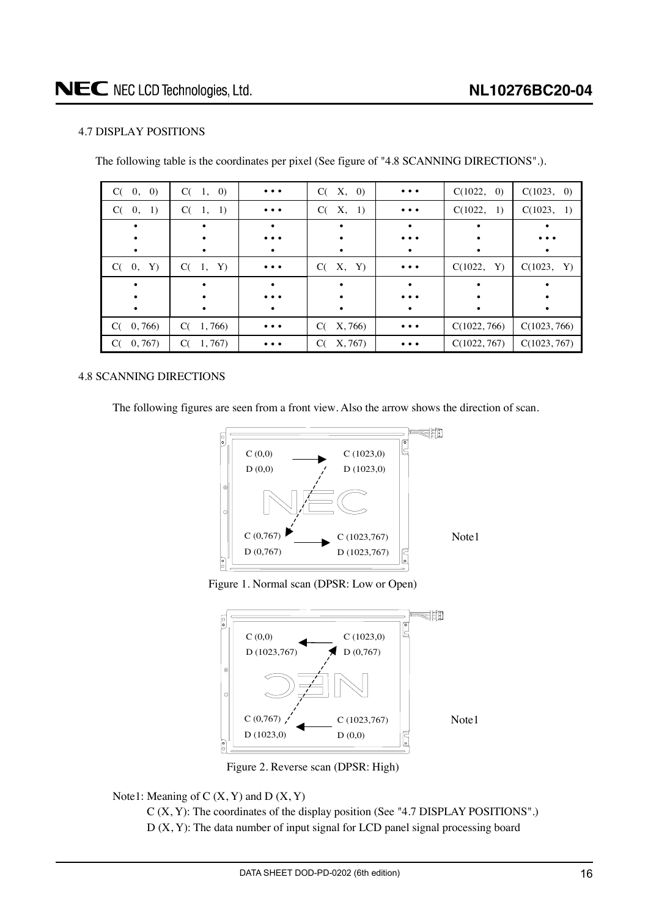# <span id="page-15-0"></span>4.7 DISPLAY POSITIONS

The following table is the coordinates per pixel (See figure of "4.8 SCANNING DIRECTIONS".).

| C(0, 0)       | C(1, 0)       | $\bullet\,\bullet\,\bullet$                                                 | C(X, 0)       | $\bullet\bullet\bullet$     | C(1022, 0)   | C(1023, 0)   |
|---------------|---------------|-----------------------------------------------------------------------------|---------------|-----------------------------|--------------|--------------|
| C(0, 1)       | C(1, 1)       | $\bullet\hspace{0.1cm} \bullet\hspace{0.1cm} \bullet\hspace{0.1cm} \bullet$ | C(X, 1)       | $\bullet\bullet\bullet$     | C(1022, 1)   | C(1023, 1)   |
|               |               |                                                                             |               |                             |              |              |
|               |               | $\cdots$                                                                    |               | $\cdots$                    |              |              |
|               |               |                                                                             | ٠             |                             |              |              |
| C(0, Y)       | $C(-1,$<br>Y) | $\bullet\ \bullet\ \bullet$                                                 | C( X, Y)      | $\bullet\,\bullet\,\bullet$ | C(1022, Y)   | C(1023, Y)   |
|               |               |                                                                             |               |                             |              |              |
|               |               | $\bullet\bullet\bullet$                                                     | ٠             | $\bullet\bullet\bullet$     |              |              |
|               |               |                                                                             | $\bullet$     |                             |              |              |
| C(0, 766)     | C(1, 766)     | $\bullet\hspace{0.1cm} \bullet\hspace{0.1cm} \bullet\hspace{0.1cm} \bullet$ | X, 766)<br>C( | $\bullet\bullet\bullet$     | C(1022, 766) | C(1023, 766) |
| 0, 767)<br>C( | 1,767<br>C(   | $\bullet\bullet\bullet$                                                     | X, 767<br>C(  | $\cdots$                    | C(1022, 767) | C(1023, 767) |

# 4.8 SCANNING DIRECTIONS

The following figures are seen from a front view. Also the arrow shows the direction of scan.







Figure 2. Reverse scan (DPSR: High)

Note1: Meaning of  $C(X, Y)$  and  $D(X, Y)$ 

C (X, Y): The coordinates of the display position (See "4.7 DISPLAY POSITIONS".) D (X, Y): The data number of input signal for LCD panel signal processing board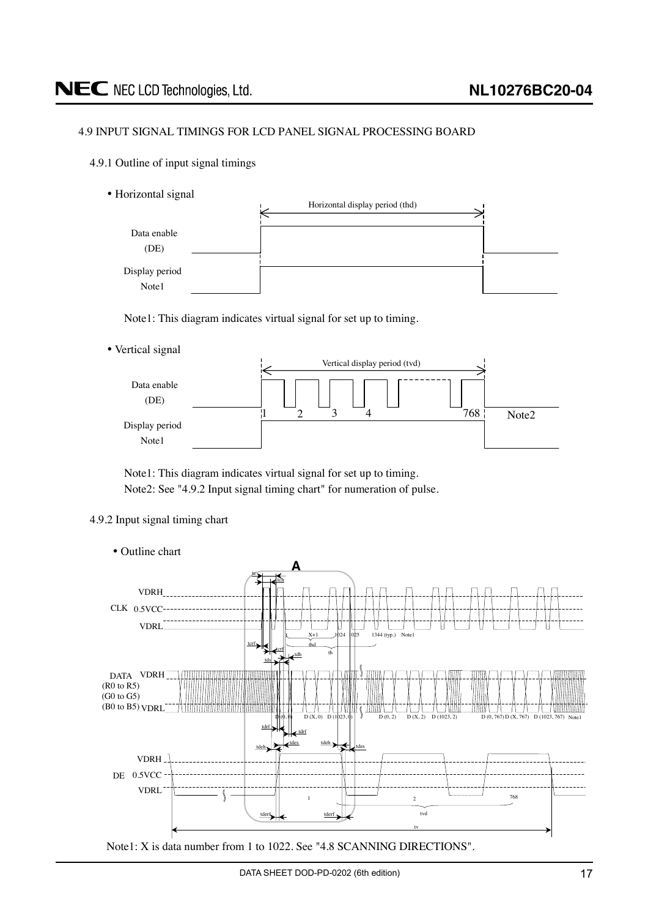# <span id="page-16-0"></span>NEC NEC LCD Technologies, Ltd.

### 4.9 INPUT SIGNAL TIMINGS FOR LCD PANEL SIGNAL PROCESSING BOARD

- 4.9.1 Outline of input signal timings
	- Horizontal signal



Note1: This diagram indicates virtual signal for set up to timing.

• Vertical signal



Note1: This diagram indicates virtual signal for set up to timing. Note2: See "4.9.2 Input signal timing chart" for numeration of pulse.

#### 4.9.2 Input signal timing chart



DATA SHEET DOD-PD-0202 (6th edition) 17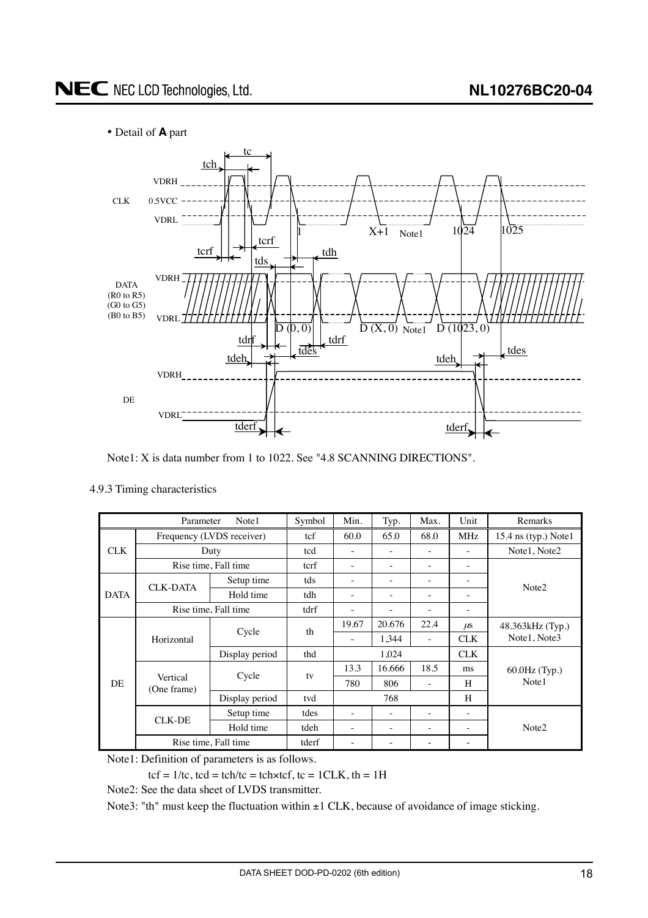# <span id="page-17-0"></span>• Detail of **A** part



Note1: X is data number from 1 to 1022. See "4.8 SCANNING DIRECTIONS".

|             | Parameter                 | Note1                | Symbol | Min.                     | Typ.                     | Max.                     | Unit                    | Remarks           |  |
|-------------|---------------------------|----------------------|--------|--------------------------|--------------------------|--------------------------|-------------------------|-------------------|--|
|             | Frequency (LVDS receiver) | tcf                  | 60.0   | 65.0                     | 68.0                     | <b>MHz</b>               | 15.4 ns (typ.) Note $1$ |                   |  |
| <b>CLK</b>  |                           | Duty                 | tcd    | ۳                        |                          |                          |                         | Note1, Note2      |  |
|             |                           | Rise time, Fall time | tcrf   | ۰                        | ۰                        | ۰                        | ٠                       |                   |  |
|             | <b>CLK-DATA</b>           | Setup time           | tds    | ۰                        | $\overline{\phantom{a}}$ | $\overline{\phantom{a}}$ | ٠                       | Note <sub>2</sub> |  |
| <b>DATA</b> |                           | Hold time            | tdh    | ۰                        | $\overline{\phantom{a}}$ | $\overline{\phantom{a}}$ | ٠                       |                   |  |
|             |                           | Rise time, Fall time | tdrf   | ۰                        | ۰                        | $\overline{\phantom{a}}$ | ۰                       |                   |  |
|             |                           |                      | th     | 19.67                    | 20.676                   | 22.4                     | $\mu$ s                 | 48.363kHz (Typ.)  |  |
|             | Horizontal                | Cycle                |        | $\overline{\phantom{a}}$ | 1,344                    | $\overline{\phantom{a}}$ | <b>CLK</b>              | Note1, Note3      |  |
|             |                           | Display period       | thd    | 1,024                    |                          | <b>CLK</b>               |                         |                   |  |
|             |                           |                      |        | 13.3                     | 16.666                   | 18.5                     | ms                      | 60.0Hz (Typ.)     |  |
| <b>DE</b>   | Vertical<br>(One frame)   | Cycle                | tv     | 780                      | 806                      | ٠                        | H                       | Note1             |  |
|             |                           | Display period       | tvd    | 768                      |                          |                          | H                       |                   |  |
|             | CLK-DE                    | Setup time           | tdes   | ۰                        | $\overline{\phantom{a}}$ | $\overline{\phantom{a}}$ | ٠                       |                   |  |
|             |                           | Hold time            | tdeh   | ۰                        | $\overline{\phantom{a}}$ | $\overline{\phantom{a}}$ | ٠                       | Note <sub>2</sub> |  |
|             |                           | Rise time, Fall time | tderf  |                          |                          |                          |                         |                   |  |

Note1: Definition of parameters is as follows.

 $tcf = 1/tc$ ,  $tcd = tch/tc = tch \times tcf$ ,  $tc = 1CLK$ ,  $th = 1H$ 

Note2: See the data sheet of LVDS transmitter.

Note3: "th" must keep the fluctuation within  $\pm 1$  CLK, because of avoidance of image sticking.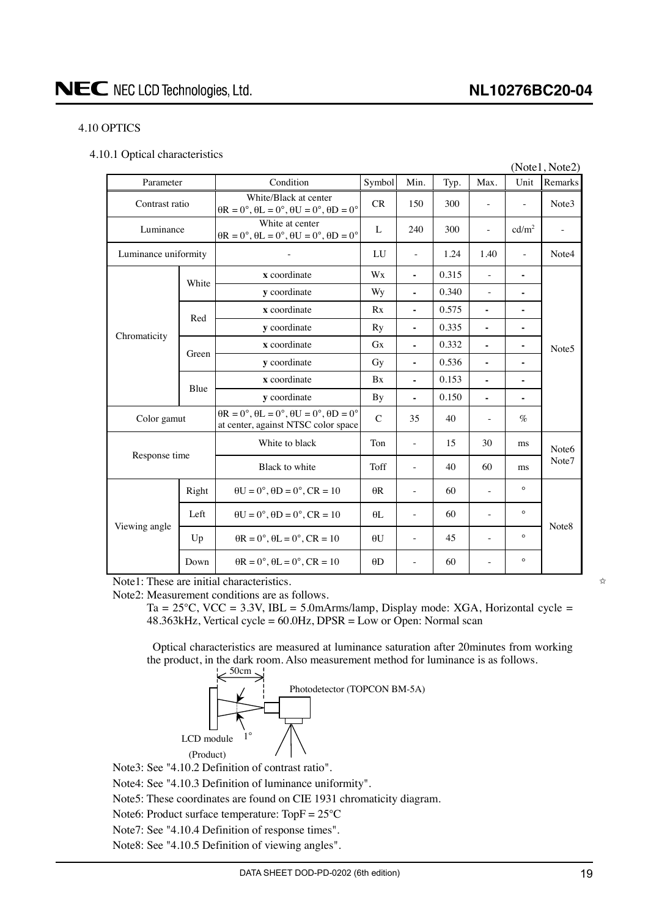# <span id="page-18-0"></span>4.10 OPTICS

|  |  | 4.10.1 Optical characteristics |
|--|--|--------------------------------|
|--|--|--------------------------------|

|                      |       |                                                                                                           |              |                          |       |                          |                          | (Note1, Note2)    |  |
|----------------------|-------|-----------------------------------------------------------------------------------------------------------|--------------|--------------------------|-------|--------------------------|--------------------------|-------------------|--|
| Parameter            |       | Condition                                                                                                 | Symbol       | Min.                     | Typ.  | Max.                     | Unit                     | Remarks           |  |
| Contrast ratio       |       | White/Black at center<br>$\theta$ R = 0°, $\theta$ L = 0°, $\theta$ U = 0°, $\theta$ D = 0°               | <b>CR</b>    | 150                      | 300   | $\overline{\phantom{0}}$ | $\overline{\phantom{a}}$ | Note3             |  |
| Luminance            |       | White at center<br>$\theta$ R = 0°, $\theta$ L = 0°, $\theta$ U = 0°, $\theta$ D = 0°                     | L            | 240                      | 300   | $\overline{\phantom{a}}$ | cd/m <sup>2</sup>        |                   |  |
| Luminance uniformity |       |                                                                                                           | LU           | $\overline{\phantom{a}}$ | 1.24  | 1.40                     | $\omega$                 | Note4             |  |
|                      | White | x coordinate                                                                                              | Wx           | $\blacksquare$           | 0.315 | $\sim$                   | ٠                        |                   |  |
|                      |       | y coordinate                                                                                              | Wy           | $\blacksquare$           | 0.340 | $\bar{a}$                | ä,                       |                   |  |
|                      | Red   | x coordinate                                                                                              | Rx           | ä,                       | 0.575 | ä,                       | $\blacksquare$           |                   |  |
| Chromaticity         |       | y coordinate                                                                                              | Ry           | $\blacksquare$           | 0.335 |                          |                          |                   |  |
|                      | Green | x coordinate                                                                                              | <b>Gx</b>    | $\blacksquare$           | 0.332 |                          | -                        | Note <sub>5</sub> |  |
|                      |       | y coordinate                                                                                              | Gy           | $\blacksquare$           | 0.536 |                          | ٠                        |                   |  |
|                      | Blue  | x coordinate                                                                                              | Bx           | ä,                       | 0.153 | ÷.                       | $\blacksquare$           |                   |  |
|                      |       | y coordinate                                                                                              | By           | $\blacksquare$           | 0.150 | $\blacksquare$           | ٠                        |                   |  |
| Color gamut          |       | $\theta$ R = 0°, $\theta$ L = 0°, $\theta$ U = 0°, $\theta$ D = 0°<br>at center, against NTSC color space | $\mathsf{C}$ | 35                       | 40    | $\overline{\phantom{a}}$ | $\%$                     |                   |  |
|                      |       | White to black                                                                                            | Ton          | $\sim$                   | 15    | 30                       | ms                       | Note <sub>6</sub> |  |
| Response time        |       | Black to white                                                                                            | Toff         | $\overline{\phantom{a}}$ | 40    | 60                       | ms                       | Note7             |  |
|                      | Right | $\theta U = 0^\circ$ , $\theta D = 0^\circ$ , $CR = 10$                                                   | $\theta$ R   | $\overline{\phantom{a}}$ | 60    | $\bar{a}$                | $\circ$                  |                   |  |
|                      | Left  | $\theta U = 0^\circ$ , $\theta D = 0^\circ$ , $CR = 10$                                                   | $\theta$ L   | $\sim$                   | 60    | $\overline{\phantom{a}}$ | $\circ$                  | Note <sub>8</sub> |  |
| Viewing angle        | Up    | $\theta$ R = 0°, $\theta$ L = 0°, CR = 10                                                                 | $\theta U$   | $\overline{\phantom{a}}$ | 45    | $\bar{a}$                | $\circ$                  |                   |  |
|                      | Down  | $\theta$ R = 0°, $\theta$ L = 0°, CR = 10                                                                 | $\theta$ D   | $\overline{\phantom{a}}$ | 60    |                          | $\circ$                  |                   |  |

Note1: These are initial characteristics.

Note2: Measurement conditions are as follows.

Ta =  $25^{\circ}$ C, VCC =  $3.3$ V, IBL =  $5.0$ mArms/lamp, Display mode: XGA, Horizontal cycle = 48.363kHz, Vertical cycle = 60.0Hz, DPSR = Low or Open: Normal scan

Optical characteristics are measured at luminance saturation after 20minutes from working the product, in the dark room. Also measurement method for luminance is as follows.



Note3: See "4.10.2 Definition of contrast ratio".

Note4: See "4.10.3 Definition of luminance uniformity".

Note5: These coordinates are found on CIE 1931 chromaticity diagram.

Note6: Product surface temperature: TopF = 25°C

Note7: See "4.10.4 Definition of response times".

Note8: See "4.10.5 Definition of viewing angles".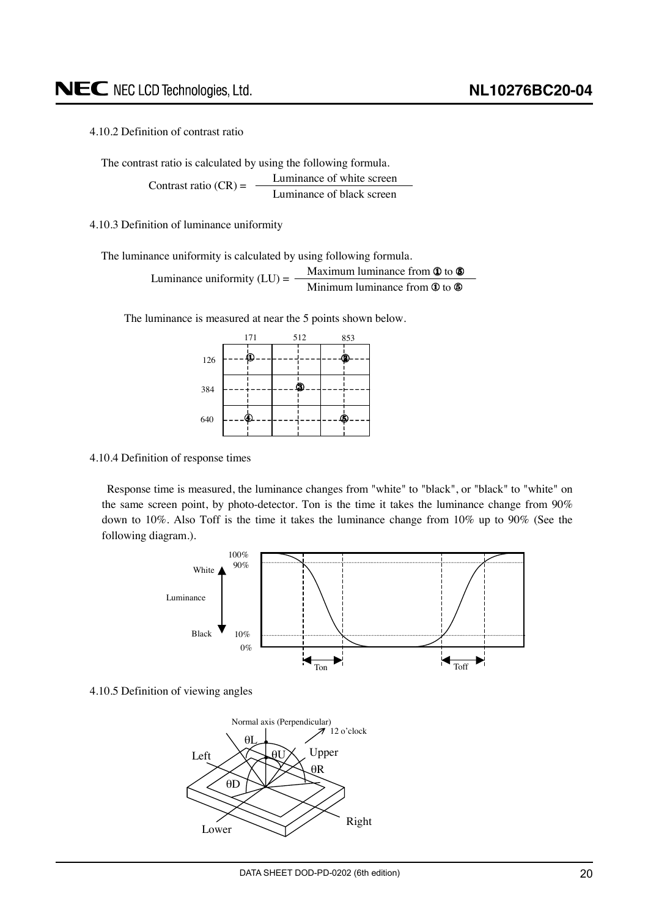<span id="page-19-0"></span>4.10.2 Definition of contrast ratio

The contrast ratio is calculated by using the following formula.

Luminance of white screen Luminance of black screen Contrast ratio  $(CR)$  =

4.10.3 Definition of luminance uniformity

The luminance uniformity is calculated by using following formula.

Luminance uniformity (LU) = 
$$
\frac{\text{Maximum luminance from } \Phi \text{ to } \Phi}{\text{Minimum luminance from } \Phi \text{ to } \Phi}
$$

The luminance is measured at near the 5 points shown below.



4.10.4 Definition of response times

Response time is measured, the luminance changes from "white" to "black", or "black" to "white" on the same screen point, by photo-detector. Ton is the time it takes the luminance change from 90% down to 10%. Also Toff is the time it takes the luminance change from 10% up to 90% (See the following diagram.).



4.10.5 Definition of viewing angles

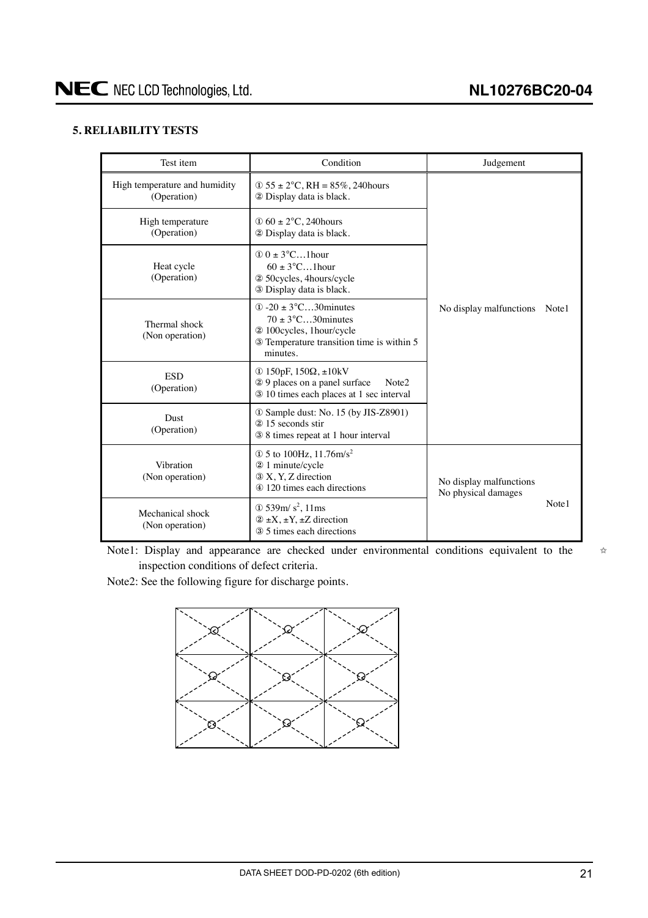# <span id="page-20-0"></span>**5. RELIABILITY TESTS**

| Test item                                    | Condition                                                                                                                                               | Judgement                                      |  |  |  |  |
|----------------------------------------------|---------------------------------------------------------------------------------------------------------------------------------------------------------|------------------------------------------------|--|--|--|--|
| High temperature and humidity<br>(Operation) |                                                                                                                                                         |                                                |  |  |  |  |
| High temperature<br>(Operation)              | $\Phi$ 60 ± 2°C, 240 hours<br>2 Display data is black.                                                                                                  |                                                |  |  |  |  |
| Heat cycle<br>(Operation)                    | $\Phi$ 0 ± 3°C1 hour<br>$60 \pm 3^{\circ}$ C1 hour<br>2 50 cycles, 4 hours/cycle<br>3 Display data is black.                                            |                                                |  |  |  |  |
| Thermal shock<br>(Non operation)             | $\Phi$ -20 $\pm$ 3°C30 minutes<br>$70 \pm 3^{\circ}$ C30 minutes<br>2 100 cycles, 1 hour/cycle<br>3 Temperature transition time is within 5<br>minutes. | No display malfunctions<br>Note1               |  |  |  |  |
| <b>ESD</b><br>(Operation)                    | ① 150pF, $150Ω$ , $±10kV$<br>29 places on a panel surface<br>Note <sub>2</sub><br>3 10 times each places at 1 sec interval                              |                                                |  |  |  |  |
| <b>Dust</b><br>(Operation)                   | 10 Sample dust: No. 15 (by JIS-Z8901)<br>2 15 seconds stir<br>38 times repeat at 1 hour interval                                                        |                                                |  |  |  |  |
| Vibration<br>(Non operation)                 | $\Phi$ 5 to 100Hz, 11.76m/s <sup>2</sup><br>2 1 minute/cycle<br>3 X, Y, Z direction<br>4 120 times each directions                                      | No display malfunctions<br>No physical damages |  |  |  |  |
| Mechanical shock<br>(Non operation)          | $\Phi$ 539m/s <sup>2</sup> , 11ms<br>$(2 \pm X, \pm Y, \pm Z)$ direction<br>3 5 times each directions                                                   | Note1                                          |  |  |  |  |

Note1: Display and appearance are checked under environmental conditions equivalent to the inspection conditions of defect criteria.

Note2: See the following figure for discharge points.



 $\vec{\chi}$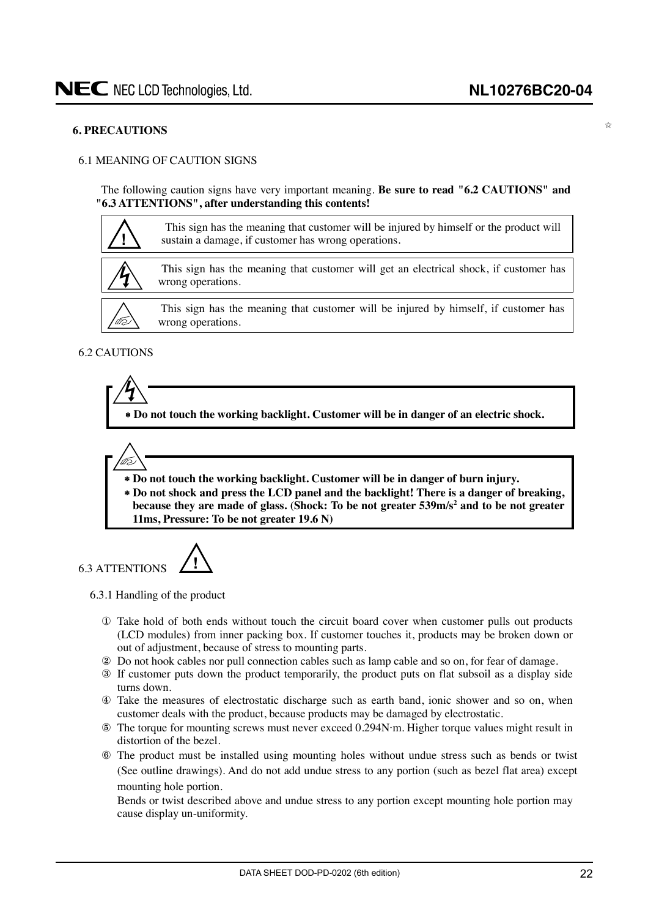✩

#### <span id="page-21-0"></span>**6. PRECAUTIONS**

#### 6.1 MEANING OF CAUTION SIGNS

The following caution signs have very important meaning. **Be sure to read "6.2 CAUTIONS" and "6.3 ATTENTIONS", after understanding this contents!**



#### 6.2 CAUTIONS

l to



∗ **Do not touch the working backlight. Customer will be in danger of burn injury.**

∗ **Do not shock and press the LCD panel and the backlight! There is a danger of breaking,** because they are made of glass. (Shock: To be not greater 539m/s<sup>2</sup> and to be not greater

# 6.3 ATTENTIONS **!**

**11ms, Pressure: To be not greater 19.6 N)**

6.3.1 Handling of the product

- ① Take hold of both ends without touch the circuit board cover when customer pulls out products (LCD modules) from inner packing box. If customer touches it, products may be broken down or out of adjustment, because of stress to mounting parts.
- ② Do not hook cables nor pull connection cables such as lamp cable and so on, for fear of damage.
- ③ If customer puts down the product temporarily, the product puts on flat subsoil as a display side turns down.
- ④ Take the measures of electrostatic discharge such as earth band, ionic shower and so on, when customer deals with the product, because products may be damaged by electrostatic.
- ⑤ The torque for mounting screws must never exceed 0.294N⋅m. Higher torque values might result in distortion of the bezel.
- ⑥ The product must be installed using mounting holes without undue stress such as bends or twist (See outline drawings). And do not add undue stress to any portion (such as bezel flat area) except mounting hole portion.

Bends or twist described above and undue stress to any portion except mounting hole portion may cause display un-uniformity.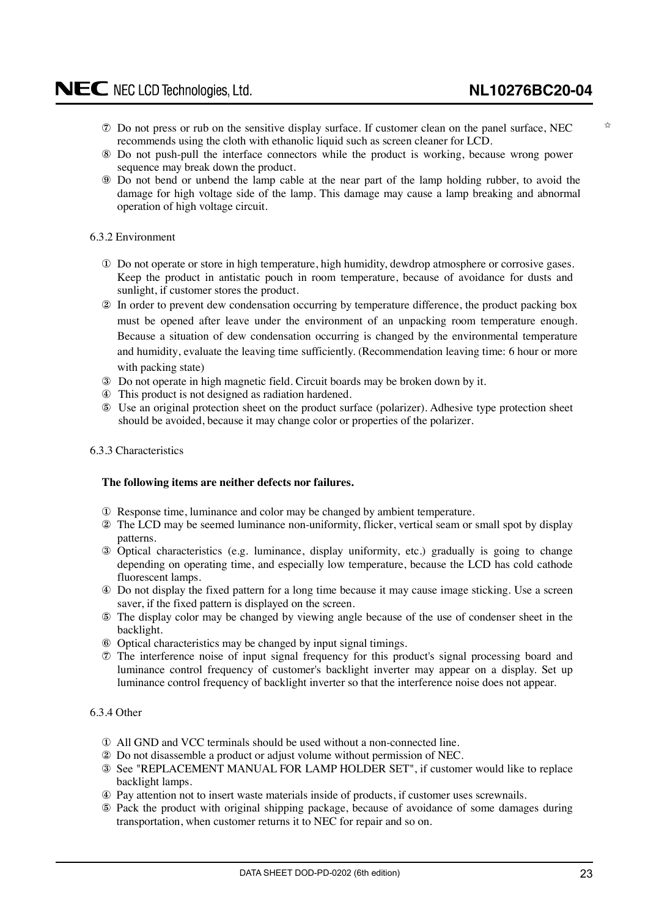✩

- <span id="page-22-0"></span>⑦ Do not press or rub on the sensitive display surface. If customer clean on the panel surface, NEC recommends using the cloth with ethanolic liquid such as screen cleaner for LCD.
- ⑧ Do not push-pull the interface connectors while the product is working, because wrong power sequence may break down the product.
- ⑨ Do not bend or unbend the lamp cable at the near part of the lamp holding rubber, to avoid the damage for high voltage side of the lamp. This damage may cause a lamp breaking and abnormal operation of high voltage circuit.

### 6.3.2 Environment

- ① Do not operate or store in high temperature, high humidity, dewdrop atmosphere or corrosive gases. Keep the product in antistatic pouch in room temperature, because of avoidance for dusts and sunlight, if customer stores the product.
- ② In order to prevent dew condensation occurring by temperature difference, the product packing box must be opened after leave under the environment of an unpacking room temperature enough. Because a situation of dew condensation occurring is changed by the environmental temperature and humidity, evaluate the leaving time sufficiently. (Recommendation leaving time: 6 hour or more with packing state)
- ③ Do not operate in high magnetic field. Circuit boards may be broken down by it.
- ④ This product is not designed as radiation hardened.
- ⑤ Use an original protection sheet on the product surface (polarizer). Adhesive type protection sheet should be avoided, because it may change color or properties of the polarizer.

#### 6.3.3 Characteristics

#### **The following items are neither defects nor failures.**

- ① Response time, luminance and color may be changed by ambient temperature.
- ② The LCD may be seemed luminance non-uniformity, flicker, vertical seam or small spot by display patterns.
- ③ Optical characteristics (e.g. luminance, display uniformity, etc.) gradually is going to change depending on operating time, and especially low temperature, because the LCD has cold cathode fluorescent lamps.
- ④ Do not display the fixed pattern for a long time because it may cause image sticking. Use a screen saver, if the fixed pattern is displayed on the screen.
- ⑤ The display color may be changed by viewing angle because of the use of condenser sheet in the backlight.
- ⑥ Optical characteristics may be changed by input signal timings.
- ⑦ The interference noise of input signal frequency for this product's signal processing board and luminance control frequency of customer's backlight inverter may appear on a display. Set up luminance control frequency of backlight inverter so that the interference noise does not appear.

#### 6.3.4 Other

- ① All GND and VCC terminals should be used without a non-connected line.
- ② Do not disassemble a product or adjust volume without permission of NEC.
- ③ See "REPLACEMENT MANUAL FOR LAMP HOLDER SET", if customer would like to replace backlight lamps.
- ④ Pay attention not to insert waste materials inside of products, if customer uses screwnails.
- ⑤ Pack the product with original shipping package, because of avoidance of some damages during transportation, when customer returns it to NEC for repair and so on.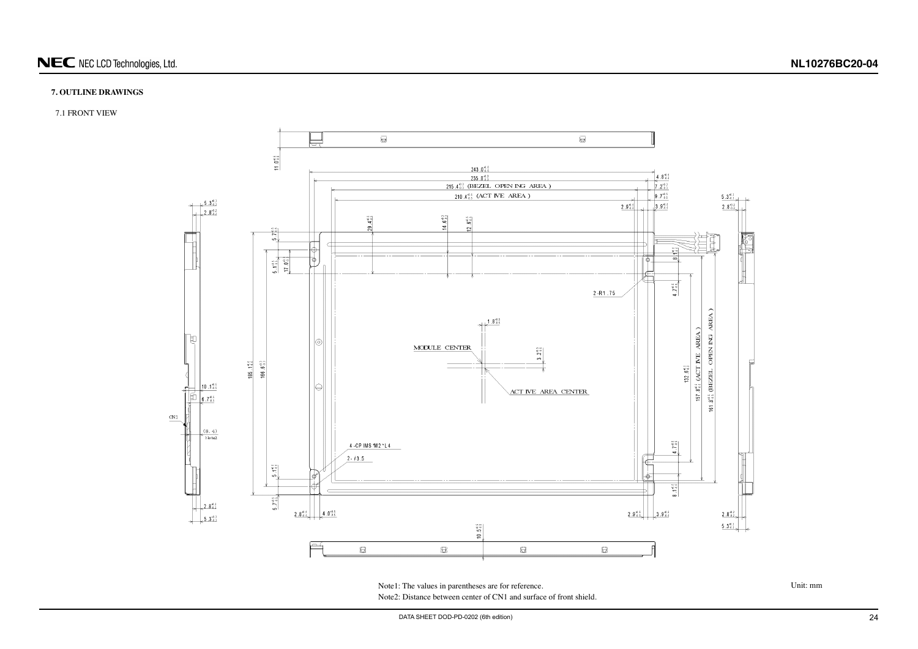

# <span id="page-23-0"></span>NEC NEC LCD Technologies, Ltd.

## **7. OUTLINE DRAWINGS**

7.1 FRONT VIEW



Note1: The values in parentheses are for reference. Unit: mm Note2: Distance between center of CN1 and surface of front shield.